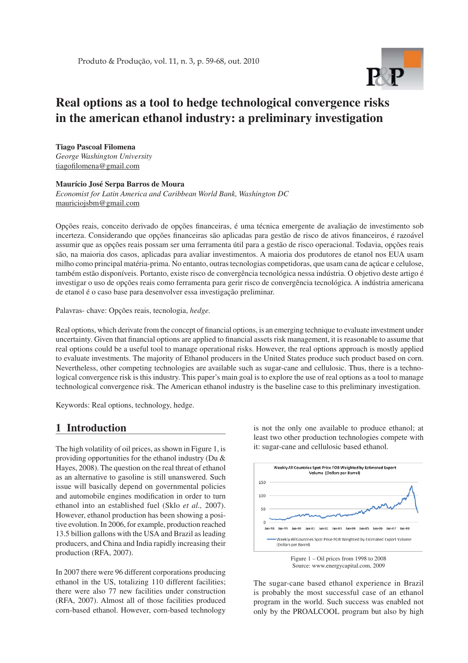# **Real options as a tool to hedge technological convergence risks in the american ethanol industry: a preliminary investigation**

**Tiago Pascoal Filomena** *George Washington University* tiagofilomena@gmail.com

#### **Maurício José Serpa Barros de Moura**

*Economist for Latin America and Caribbean World Bank, Washington DC* mauriciojsbm@gmail.com

Opções reais, conceito derivado de opções financeiras, é uma técnica emergente de avaliação de investimento sob incerteza. Considerando que opções financeiras são aplicadas para gestão de risco de ativos financeiros, é razoável assumir que as opções reais possam ser uma ferramenta útil para a gestão de risco operacional. Todavia, opções reais são, na maioria dos casos, aplicadas para avaliar investimentos. A maioria dos produtores de etanol nos EUA usam milho como principal matéria-prima. No entanto, outras tecnologias competidoras, que usam cana de açúcar e celulose, também estão disponíveis. Portanto, existe risco de convergência tecnológica nessa indústria. O objetivo deste artigo é investigar o uso de opções reais como ferramenta para gerir risco de convergência tecnológica. A indústria americana de etanol é o caso base para desenvolver essa investigação preliminar.

Palavras- chave: Opções reais, tecnologia, *hedge.*

Real options, which derivate from the concept of financial options, is an emerging technique to evaluate investment under uncertainty. Given that financial options are applied to financial assets risk management, it is reasonable to assume that real options could be a useful tool to manage operational risks. However, the real options approach is mostly applied to evaluate investments. The majority of Ethanol producers in the United States produce such product based on corn. Nevertheless, other competing technologies are available such as sugar-cane and cellulosic. Thus, there is a technological convergence risk is this industry. This paper's main goal is to explore the use of real options as a tool to manage technological convergence risk. The American ethanol industry is the baseline case to this preliminary investigation.

Keywords: Real options, technology, hedge.

### **1 Introduction**

The high volatility of oil prices, as shown in Figure 1, is providing opportunities for the ethanol industry (Du & Hayes, 2008). The question on the real threat of ethanol as an alternative to gasoline is still unanswered. Such issue will basically depend on governmental policies and automobile engines modification in order to turn ethanol into an established fuel (Sklo *et al.,* 2007). However, ethanol production has been showing a positive evolution. In 2006, for example, production reached 13.5 billion gallons with the USA and Brazil as leading producers, and China and India rapidly increasing their production (RFA, 2007).

In 2007 there were 96 different corporations producing ethanol in the US, totalizing 110 different facilities; there were also 77 new facilities under construction (RFA, 2007). Almost all of those facilities produced corn-based ethanol. However, corn-based technology

is not the only one available to produce ethanol; at least two other production technologies compete with it: sugar-cane and cellulosic based ethanol.





The sugar-cane based ethanol experience in Brazil is probably the most successful case of an ethanol program in the world. Such success was enabled not only by the PROALCOOL program but also by high

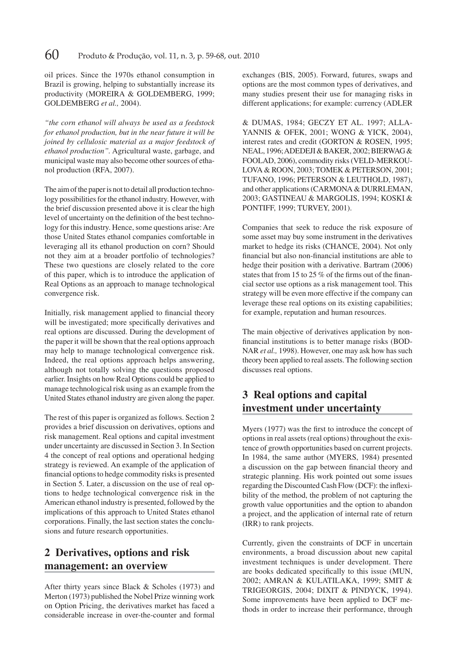oil prices. Since the 1970s ethanol consumption in Brazil is growing, helping to substantially increase its productivity (MOREIRA & GOLDEMBERG, 1999; GOLDEMBERG *et al.,* 2004).

*"the corn ethanol will always be used as a feedstock for ethanol production, but in the near future it will be joined by cellulosic material as a major feedstock of ethanol production".* Agricultural waste, garbage, and municipal waste may also become other sources of ethanol production (RFA, 2007).

The aim of the paper is not to detail all production technology possibilities for the ethanol industry. However, with the brief discussion presented above it is clear the high level of uncertainty on the definition of the best technology for this industry. Hence, some questions arise: Are those United States ethanol companies comfortable in leveraging all its ethanol production on corn? Should not they aim at a broader portfolio of technologies? These two questions are closely related to the core of this paper, which is to introduce the application of Real Options as an approach to manage technological convergence risk.

Initially, risk management applied to financial theory will be investigated; more specifically derivatives and real options are discussed. During the development of the paper it will be shown that the real options approach may help to manage technological convergence risk. Indeed, the real options approach helps answering, although not totally solving the questions proposed earlier. Insights on how Real Options could be applied to manage technological risk using as an example from the United States ethanol industry are given along the paper.

The rest of this paper is organized as follows. Section 2 provides a brief discussion on derivatives, options and risk management. Real options and capital investment under uncertainty are discussed in Section 3. In Section 4 the concept of real options and operational hedging strategy is reviewed. An example of the application of financial options to hedge commodity risks is presented in Section 5. Later, a discussion on the use of real options to hedge technological convergence risk in the American ethanol industry is presented, followed by the implications of this approach to United States ethanol corporations. Finally, the last section states the conclusions and future research opportunities.

# **2 Derivatives, options and risk management: an overview**

After thirty years since Black & Scholes (1973) and Merton (1973) published the Nobel Prize winning work on Option Pricing, the derivatives market has faced a considerable increase in over-the-counter and formal exchanges (BIS, 2005). Forward, futures, swaps and options are the most common types of derivatives, and many studies present their use for managing risks in different applications; for example: currency (ADLER

 & DUMAS, 1984; GECZY ET AL. 1997; ALLA-YANNIS & OFEK, 2001; WONG & YICK, 2004), interest rates and credit (GORTON & ROSEN, 1995; NEAL, 1996; ADEDEJI & BAKER, 2002; BIERWAG & FOOLAD, 2006), commodity risks (VELD-MERKOU-LOVA & ROON, 2003; TOMEK & PETERSON, 2001; TUFANO, 1996; PETERSON & LEUTHOLD, 1987), and other applications (CARMONA & DURRLEMAN, 2003; GASTINEAU & MARGOLIS, 1994; KOSKI & PONTIFF, 1999; TURVEY, 2001).

Companies that seek to reduce the risk exposure of some asset may buy some instrument in the derivatives market to hedge its risks (CHANCE, 2004). Not only financial but also non-financial institutions are able to hedge their position with a derivative. Bartram (2006) states that from 15 to 25  $%$  of the firms out of the financial sector use options as a risk management tool. This strategy will be even more effective if the company can leverage these real options on its existing capabilities; for example, reputation and human resources.

The main objective of derivatives application by nonfinancial institutions is to better manage risks (BOD-NAR *et al.,* 1998). However, one may ask how has such theory been applied to real assets. The following section discusses real options.

## **3 Real options and capital investment under uncertainty**

Myers  $(1977)$  was the first to introduce the concept of options in real assets (real options) throughout the existence of growth opportunities based on current projects. In 1984, the same author (MYERS, 1984) presented a discussion on the gap between financial theory and strategic planning. His work pointed out some issues regarding the Discounted Cash Flow (DCF): the inflexibility of the method, the problem of not capturing the growth value opportunities and the option to abandon a project, and the application of internal rate of return (IRR) to rank projects.

Currently, given the constraints of DCF in uncertain environments, a broad discussion about new capital investment techniques is under development. There are books dedicated specifically to this issue (MUN, 2002; AMRAN & KULATILAKA, 1999; SMIT & TRIGEORGIS, 2004; DIXIT & PINDYCK, 1994). Some improvements have been applied to DCF methods in order to increase their performance, through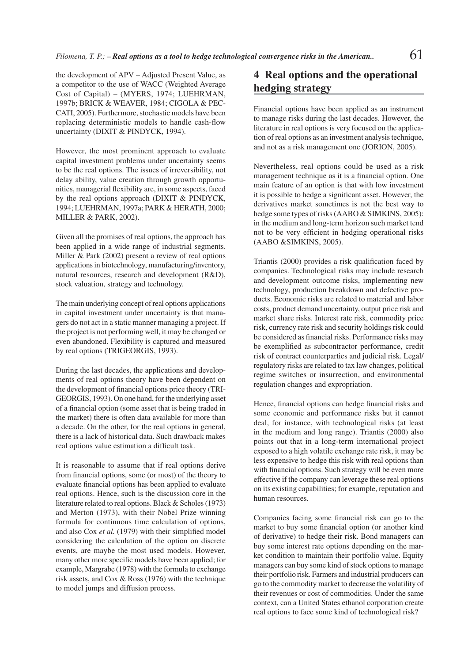the development of APV – Adjusted Present Value, as a competitor to the use of WACC (Weighted Average Cost of Capital) – (MYERS, 1974; LUEHRMAN, 1997b; BRICK & WEAVER, 1984; CIGOLA & PEC-CATI, 2005). Furthermore, stochastic models have been replacing deterministic models to handle cash-flow uncertainty (DIXIT & PINDYCK, 1994).

However, the most prominent approach to evaluate capital investment problems under uncertainty seems to be the real options. The issues of irreversibility, not delay ability, value creation through growth opportunities, managerial flexibility are, in some aspects, faced by the real options approach (DIXIT & PINDYCK, 1994; LUEHRMAN, 1997a; PARK & HERATH, 2000; MILLER & PARK, 2002).

Given all the promises of real options, the approach has been applied in a wide range of industrial segments. Miller & Park (2002) present a review of real options applications in biotechnology, manufacturing/inventory, natural resources, research and development (R&D), stock valuation, strategy and technology.

The main underlying concept of real options applications in capital investment under uncertainty is that managers do not act in a static manner managing a project. If the project is not performing well, it may be changed or even abandoned. Flexibility is captured and measured by real options (TRIGEORGIS, 1993).

During the last decades, the applications and developments of real options theory have been dependent on the development of financial options price theory (TRI-GEORGIS, 1993). On one hand, for the underlying asset of a financial option (some asset that is being traded in the market) there is often data available for more than a decade. On the other, for the real options in general, there is a lack of historical data. Such drawback makes real options value estimation a difficult task.

It is reasonable to assume that if real options derive from financial options, some (or most) of the theory to evaluate financial options has been applied to evaluate real options. Hence, such is the discussion core in the literature related to real options. Black & Scholes (1973) and Merton (1973), with their Nobel Prize winning formula for continuous time calculation of options, and also Cox *et al.* (1979) with their simplified model considering the calculation of the option on discrete events, are maybe the most used models. However, many other more specific models have been applied; for example, Margrabe (1978) with the formula to exchange risk assets, and Cox & Ross (1976) with the technique to model jumps and diffusion process.

### **4 Real options and the operational hedging strategy**

Financial options have been applied as an instrument to manage risks during the last decades. However, the literature in real options is very focused on the application of real options as an investment analysis technique, and not as a risk management one (JORION, 2005).

Nevertheless, real options could be used as a risk management technique as it is a financial option. One main feature of an option is that with low investment it is possible to hedge a significant asset. However, the derivatives market sometimes is not the best way to hedge some types of risks (AABO & SIMKINS, 2005): in the medium and long-term horizon such market tend not to be very efficient in hedging operational risks (AABO &SIMKINS, 2005).

Triantis (2000) provides a risk qualification faced by companies. Technological risks may include research and development outcome risks, implementing new technology, production breakdown and defective products. Economic risks are related to material and labor costs, product demand uncertainty, output price risk and market share risks. Interest rate risk, commodity price risk, currency rate risk and security holdings risk could be considered as financial risks. Performance risks may be exemplified as subcontractor performance, credit risk of contract counterparties and judicial risk. Legal/ regulatory risks are related to tax law changes, political regime switches or insurrection, and environmental regulation changes and expropriation.

Hence, financial options can hedge financial risks and some economic and performance risks but it cannot deal, for instance, with technological risks (at least in the medium and long range). Triantis (2000) also points out that in a long-term international project exposed to a high volatile exchange rate risk, it may be less expensive to hedge this risk with real options than with financial options. Such strategy will be even more effective if the company can leverage these real options on its existing capabilities; for example, reputation and human resources.

Companies facing some financial risk can go to the market to buy some financial option (or another kind of derivative) to hedge their risk. Bond managers can buy some interest rate options depending on the market condition to maintain their portfolio value. Equity managers can buy some kind of stock options to manage their portfolio risk. Farmers and industrial producers can go to the commodity market to decrease the volatility of their revenues or cost of commodities. Under the same context, can a United States ethanol corporation create real options to face some kind of technological risk?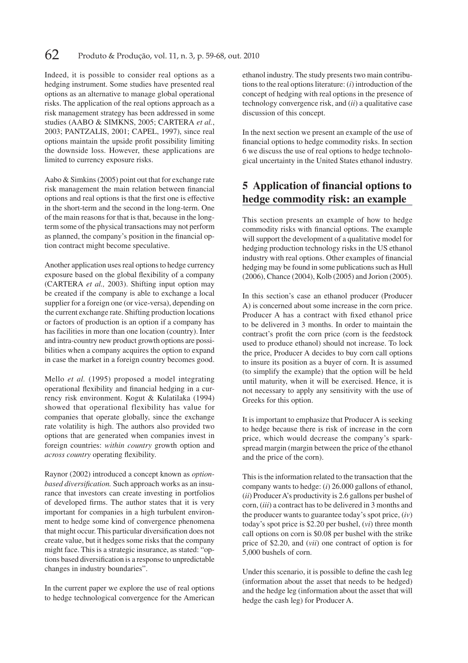Indeed, it is possible to consider real options as a hedging instrument. Some studies have presented real options as an alternative to manage global operational risks. The application of the real options approach as a risk management strategy has been addressed in some studies (AABO & SIMKNS, 2005; CARTERA *et al.*, 2003; PANTZALIS, 2001; CAPEL, 1997), since real options maintain the upside profit possibility limiting the downside loss. However, these applications are limited to currency exposure risks.

Aabo & Simkins (2005) point out that for exchange rate risk management the main relation between financial options and real options is that the first one is effective in the short-term and the second in the long-term. One of the main reasons for that is that, because in the longterm some of the physical transactions may not perform as planned, the company's position in the financial option contract might become speculative.

Another application uses real options to hedge currency exposure based on the global flexibility of a company (CARTERA *et al.,* 2003). Shifting input option may be created if the company is able to exchange a local supplier for a foreign one (or vice-versa), depending on the current exchange rate. Shifting production locations or factors of production is an option if a company has has facilities in more than one location (country). Inter and intra-country new product growth options are possibilities when a company acquires the option to expand in case the market in a foreign country becomes good.

Mello *et al.* (1995) proposed a model integrating operational flexibility and financial hedging in a currency risk environment. Kogut & Kulatilaka (1994) showed that operational flexibility has value for companies that operate globally, since the exchange rate volatility is high. The authors also provided two options that are generated when companies invest in foreign countries: *within country* growth option and *across country* operating flexibility.

Raynor (2002) introduced a concept known as *optionbased diversification*. Such approach works as an insurance that investors can create investing in portfolios of developed firms. The author states that it is very important for companies in a high turbulent environment to hedge some kind of convergence phenomena that might occur. This particular diversification does not create value, but it hedges some risks that the company might face. This is a strategic insurance, as stated: "options based diversification is a response to unpredictable changes in industry boundaries".

In the current paper we explore the use of real options to hedge technological convergence for the American

ethanol industry. The study presents two main contributions to the real options literature: (*i*) introduction of the concept of hedging with real options in the presence of technology convergence risk, and (*ii*) a qualitative case discussion of this concept.

In the next section we present an example of the use of financial options to hedge commodity risks. In section 6 we discuss the use of real options to hedge technological uncertainty in the United States ethanol industry.

## **5 Application of financial options to hedge commodity risk: an example**

This section presents an example of how to hedge commodity risks with financial options. The example will support the development of a qualitative model for hedging production technology risks in the US ethanol industry with real options. Other examples of financial hedging may be found in some publications such as Hull (2006), Chance (2004), Kolb (2005) and Jorion (2005).

In this section's case an ethanol producer (Producer A) is concerned about some increase in the corn price. Producer A has a contract with fixed ethanol price to be delivered in 3 months. In order to maintain the contract's profit the corn price (corn is the feedstock used to produce ethanol) should not increase. To lock the price, Producer A decides to buy corn call options to insure its position as a buyer of corn. It is assumed (to simplify the example) that the option will be held until maturity, when it will be exercised. Hence, it is not necessary to apply any sensitivity with the use of Greeks for this option.

It is important to emphasize that Producer A is seeking to hedge because there is risk of increase in the corn price, which would decrease the company's sparkspread margin (margin between the price of the ethanol and the price of the corn).

This is the information related to the transaction that the company wants to hedge: (*i*) 26.000 gallons of ethanol, (*ii*) Producer A's productivity is 2.6 gallons per bushel of corn, (*iii*) a contract has to be delivered in 3 months and the producer wants to guarantee today's spot price, (*iv*) today's spot price is \$2.20 per bushel, (*vi*) three month call options on corn is \$0.08 per bushel with the strike price of \$2.20, and (*vii*) one contract of option is for 5,000 bushels of corn.

Under this scenario, it is possible to define the cash leg (information about the asset that needs to be hedged) and the hedge leg (information about the asset that will hedge the cash leg) for Producer A.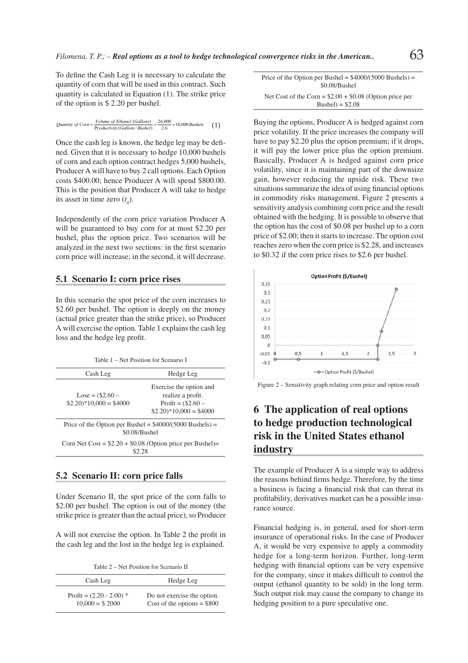To define the Cash Leg it is necessary to calculate the quantity of corn that will be used in this contract. Such quantity is calculated in Equation (1). The strike price of the option is \$ 2.20 per bushel.

$$
Quantity of Corn = \frac{Volume\ of\ Ethanol\ (Gallons)}{\text{Productivity}(Gallons/Bushel)} = \frac{26,000}{2.6} = 10,000\,Bushels \tag{1}
$$

Once the cash leg is known, the hedge leg may be defined. Given that it is necessary to hedge 10,000 bushels of corn and each option contract hedges 5,000 bushels, Producer A will have to buy 2 call options. Each Option costs \$400.00; hence Producer A will spend \$800.00. This is the position that Producer A will take to hedge its asset in time zero  $(t_0)$ .

Independently of the corn price variation Producer A will be guaranteed to buy corn for at most \$2.20 per bushel, plus the option price. Two scenarios will be analyzed in the next two sections: in the first scenario corn price will increase; in the second, it will decrease.

#### **5.1 Scenario I: corn price rises**

In this scenario the spot price of the corn increases to \$2.60 per bushel. The option is deeply on the money (actual price greater than the strike price), so Producer A will exercise the option. Table 1 explains the cash leg loss and the hedge leg profit.

Table 1 – Net Position for Scenario I

| Cash Leg                                                                           | Hedge Leg                                                                                                     |
|------------------------------------------------------------------------------------|---------------------------------------------------------------------------------------------------------------|
| $\text{Lose} = (\$2.60 -$<br>$$2.20$ <sup>*</sup> $10,000 = $4000$                 | Exercise the option and<br>realize a profit.<br>Profit = $(\$2.60 -$<br>$$2.20$ <sup>*</sup> $10,000 = $4000$ |
| Price of the Option per Bushel = $$4000/(5000 \text{ Bushels}) =$<br>\$0.08/Bushel |                                                                                                               |
| Corn Net Cost = $$2.20 + $0.08$ (Option price per Bushel)=<br>\$2.28               |                                                                                                               |

#### **5.2 Scenario II: corn price falls**

Under Scenario II, the spot price of the corn falls to \$2.00 per bushel. The option is out of the money (the strike price is greater than the actual price), so Producer

A will not exercise the option. In Table 2 the profit in the cash leg and the lost in the hedge leg is explained.

Table 2 – Net Position for Scenario II

| Cash Leg                   | Hedge Leg                    |
|----------------------------|------------------------------|
| Profit = $(2.20 - 2.00)$ * | Do not exercise the option.  |
| $10,000 = $2000$           | Cost of the options = $$800$ |

| Price of the Option per Bushel = $$4000/(5000$ Bushels) = |  |
|-----------------------------------------------------------|--|
| \$0.08/Bushel                                             |  |
| Net Cost of the Corn = $$2.00 + $0.08$ (Option price per  |  |
| Bushel $) = $2.08$                                        |  |

Buying the options, Producer A is hedged against corn price volatility. If the price increases the company will have to pay \$2.20 plus the option premium; if it drops, it will pay the lower price plus the option premium. Basically, Producer A is hedged against corn price volatility, since it is maintaining part of the downsize gain, however reducing the upside risk. These two situations summarize the idea of using financial options in commodity risks management. Figure 2 presents a sensitivity analysis combining corn price and the result obtained with the hedging. It is possible to observe that the option has the cost of \$0.08 per bushel up to a corn price of \$2.00; then it starts to increase. The option cost reaches zero when the corn price is \$2.28, and increases to \$0.32 if the corn price rises to \$2.6 per bushel.



Figure 2 – Sensitivity graph relating corn price and option result

# **6 The application of real options to hedge production technological risk in the United States ethanol industry**

The example of Producer A is a simple way to address the reasons behind firms hedge. Therefore, by the time a business is facing a financial risk that can threat its profitability, derivatives market can be a possible insurance source.

Financial hedging is, in general, used for short-term insurance of operational risks. In the case of Producer A, it would be very expensive to apply a commodity hedge for a long-term horizon. Further, long-term hedging with financial options can be very expensive for the company, since it makes difficult to control the output (ethanol quantity to be sold) in the long term. Such output risk may cause the company to change its hedging position to a pure speculative one.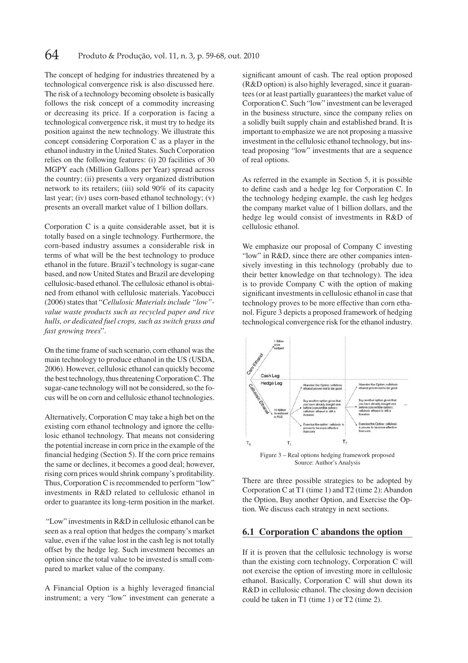The concept of hedging for industries threatened by a technological convergence risk is also discussed here. The risk of a technology becoming obsolete is basically follows the risk concept of a commodity increasing or decreasing its price. If a corporation is facing a technological convergence risk, it must try to hedge its position against the new technology. We illustrate this concept considering Corporation C as a player in the ethanol industry in the United States. Such Corporation relies on the following features: (i) 20 facilities of 30 MGPY each (Million Gallons per Year) spread across the country; (ii) presents a very organized distribution network to its retailers; (iii) sold 90% of its capacity last year; (iv) uses corn-based ethanol technology; (v) presents an overall market value of 1 billion dollars.

Corporation C is a quite considerable asset, but it is totally based on a single technology. Furthermore, the corn-based industry assumes a considerable risk in terms of what will be the best technology to produce ethanol in the future. Brazil's technology is sugar-cane based, and now United States and Brazil are developing cellulosic-based ethanol. The cellulosic ethanol is obtained from ethanol with cellulosic materials. Yacobucci (2006) states that "*Cellulosic Materials include "low" value waste products such as recycled paper and rice hulls, or dedicated fuel crops, such as switch grass and fast growing trees*".

On the time frame of such scenario, corn ethanol was the main technology to produce ethanol in the US (USDA, 2006). However, cellulosic ethanol can quickly become the best technology, thus threatening Corporation C. The sugar-cane technology will not be considered, so the focus will be on corn and cellulosic ethanol technologies.

Alternatively, Corporation C may take a high bet on the existing corn ethanol technology and ignore the cellulosic ethanol technology. That means not considering the potential increase in corn price in the example of the financial hedging (Section 5). If the corn price remains the same or declines, it becomes a good deal; however, rising corn prices would shrink company's profitability. Thus, Corporation C is recommended to perform "low" investments in R&D related to cellulosic ethanol in order to guarantee its long-term position in the market.

 "Low" investments in R&D in cellulosic ethanol can be seen as a real option that hedges the company's market value, even if the value lost in the cash leg is not totally offset by the hedge leg. Such investment becomes an option since the total value to be invested is small compared to market value of the company.

A Financial Option is a highly leveraged financial instrument; a very "low" investment can generate a

significant amount of cash. The real option proposed (R&D option) is also highly leveraged, since it guarantees (or at least partially guarantees) the market value of Corporation C. Such "low" investment can be leveraged in the business structure, since the company relies on a solidly built supply chain and established brand. It is important to emphasize we are not proposing a massive investment in the cellulosic ethanol technology, but instead proposing "low" investments that are a sequence of real options.

As referred in the example in Section 5, it is possible to define cash and a hedge leg for Corporation C. In the technology hedging example, the cash leg hedges the company market value of 1 billion dollars, and the hedge leg would consist of investments in R&D of cellulosic ethanol.

We emphasize our proposal of Company C investing "low" in R&D, since there are other companies intensively investing in this technology (probably due to their better knowledge on that technology). The idea is to provide Company C with the option of making significant investments in cellulosic ethanol in case that technology proves to be more effective than corn ethanol. Figure 3 depicts a proposed framework of hedging technological convergence risk for the ethanol industry.



Source: Author's Analysis

There are three possible strategies to be adopted by Corporation C at T1 (time 1) and T2 (time 2): Abandon the Option, Buy another Option, and Exercise the Option. We discuss each strategy in next sections.

#### **6.1 Corporation C abandons the option**

If it is proven that the cellulosic technology is worse than the existing corn technology, Corporation C will not exercise the option of investing more in cellulosic ethanol. Basically, Corporation C will shut down its R&D in cellulosic ethanol. The closing down decision could be taken in T1 (time 1) or T2 (time 2).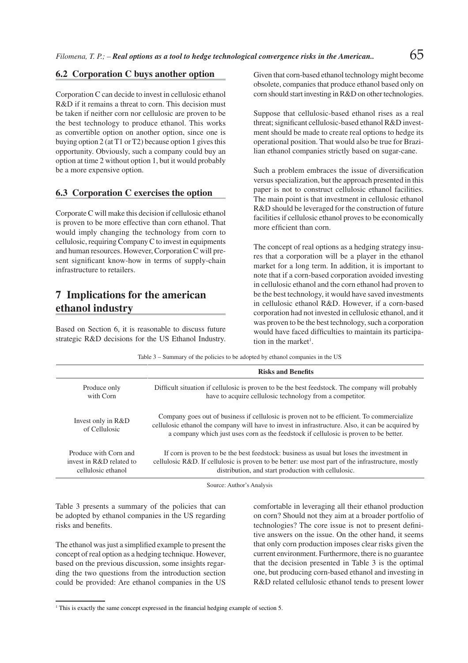#### **6.2 Corporation C buys another option**

Corporation C can decide to invest in cellulosic ethanol R&D if it remains a threat to corn. This decision must be taken if neither corn nor cellulosic are proven to be the best technology to produce ethanol. This works as convertible option on another option, since one is buying option 2 (at T1 or T2) because option 1 gives this opportunity. Obviously, such a company could buy an option at time 2 without option 1, but it would probably be a more expensive option.

#### **6.3 Corporation C exercises the option**

Corporate C will make this decision if cellulosic ethanol is proven to be more effective than corn ethanol. That would imply changing the technology from corn to cellulosic, requiring Company C to invest in equipments and human resources. However, Corporation C will present significant know-how in terms of supply-chain infrastructure to retailers.

### **7 Implications for the american ethanol industry**

Based on Section 6, it is reasonable to discuss future strategic R&D decisions for the US Ethanol Industry. Given that corn-based ethanol technology might become obsolete, companies that produce ethanol based only on corn should start investing in R&D on other technologies.

Suppose that cellulosic-based ethanol rises as a real threat; significant cellulosic-based ethanol R&D investment should be made to create real options to hedge its operational position. That would also be true for Brazilian ethanol companies strictly based on sugar-cane.

Such a problem embraces the issue of diversification versus specialization, but the approach presented in this paper is not to construct cellulosic ethanol facilities. The main point is that investment in cellulosic ethanol R&D should be leveraged for the construction of future facilities if cellulosic ethanol proves to be economically more efficient than corn.

The concept of real options as a hedging strategy insures that a corporation will be a player in the ethanol market for a long term. In addition, it is important to note that if a corn-based corporation avoided investing in cellulosic ethanol and the corn ethanol had proven to be the best technology, it would have saved investments in cellulosic ethanol R&D. However, if a corn-based corporation had not invested in cellulosic ethanol, and it was proven to be the best technology, such a corporation would have faced difficulties to maintain its participation in the market<sup>1</sup>.

Table 3 – Summary of the policies to be adopted by ethanol companies in the US **Risks and Benefits** Produce only with Corn Difficult situation if cellulosic is proven to be the best feedstock. The company will probably have to acquire cellulosic technology from a competitor. Invest only in R&D of Cellulosic Company goes out of business if cellulosic is proven not to be efficient. To commercialize cellulosic ethanol the company will have to invest in infrastructure. Also, it can be acquired by a company which just uses corn as the feedstock if cellulosic is proven to be better. Produce with Corn and invest in R&D related to cellulosic ethanol If corn is proven to be the best feedstock: business as usual but loses the investment in cellulosic R&D. If cellulosic is proven to be better: use most part of the infrastructure, mostly distribution, and start production with cellulosic.

Source: Author's Analysis

Table 3 presents a summary of the policies that can be adopted by ethanol companies in the US regarding risks and benefits.

The ethanol was just a simplified example to present the concept of real option as a hedging technique. However, based on the previous discussion, some insights regarding the two questions from the introduction section could be provided: Are ethanol companies in the US

comfortable in leveraging all their ethanol production on corn? Should not they aim at a broader portfolio of technologies? The core issue is not to present definitive answers on the issue. On the other hand, it seems that only corn production imposes clear risks given the current environment. Furthermore, there is no guarantee that the decision presented in Table 3 is the optimal one, but producing corn-based ethanol and investing in R&D related cellulosic ethanol tends to present lower

<sup>&</sup>lt;sup>1</sup> This is exactly the same concept expressed in the financial hedging example of section 5.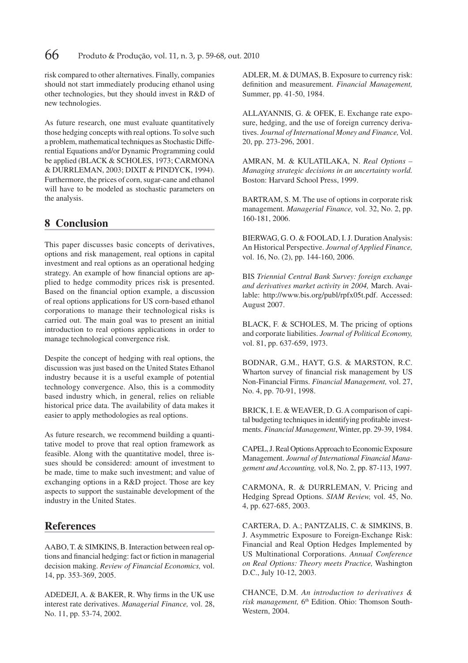risk compared to other alternatives. Finally, companies should not start immediately producing ethanol using other technologies, but they should invest in R&D of new technologies.

As future research, one must evaluate quantitatively those hedging concepts with real options. To solve such a problem, mathematical techniques as Stochastic Differential Equations and/or Dynamic Programming could be applied (BLACK & SCHOLES, 1973; CARMONA & DURRLEMAN, 2003; DIXIT & PINDYCK, 1994). Furthermore, the prices of corn, sugar-cane and ethanol will have to be modeled as stochastic parameters on the analysis.

### **8 Conclusion**

This paper discusses basic concepts of derivatives, options and risk management, real options in capital investment and real options as an operational hedging strategy. An example of how financial options are applied to hedge commodity prices risk is presented. Based on the financial option example, a discussion of real options applications for US corn-based ethanol corporations to manage their technological risks is carried out. The main goal was to present an initial introduction to real options applications in order to manage technological convergence risk.

Despite the concept of hedging with real options, the discussion was just based on the United States Ethanol industry because it is a useful example of potential technology convergence. Also, this is a commodity based industry which, in general, relies on reliable historical price data. The availability of data makes it easier to apply methodologies as real options.

As future research, we recommend building a quantitative model to prove that real option framework as feasible. Along with the quantitative model, three issues should be considered: amount of investment to be made, time to make such investment; and value of exchanging options in a R&D project. Those are key aspects to support the sustainable development of the industry in the United States.

### **References**

AABO, T. & SIMKINS, B. Interaction between real options and financial hedging: fact or fiction in managerial decision making. *Review of Financial Economics,* vol. 14, pp. 353-369, 2005.

ADEDEJI, A. & BAKER, R. Why firms in the UK use interest rate derivatives. *Managerial Finance*, vol. 28, No. 11, pp. 53-74, 2002.

ADLER, M. & DUMAS, B. Exposure to currency risk: definition and measurement. *Financial Management*, Summer, pp. 41-50, 1984.

ALLAYANNIS, G. & OFEK, E. Exchange rate exposure, hedging, and the use of foreign currency derivatives. *Journal of International Money and Finance,* Vol. 20, pp. 273-296, 2001.

AMRAN, M. & KULATILAKA, N. *Real Options – Managing strategic decisions in an uncertainty world.* Boston: Harvard School Press, 1999.

BARTRAM, S. M. The use of options in corporate risk management. *Managerial Finance,* vol. 32, No. 2, pp. 160-181, 2006.

BIERWAG, G. O. & FOOLAD, I. J. Duration Analysis: An Historical Perspective. *Journal of Applied Finance,*  vol. 16, No. (2), pp. 144-160, 2006.

BIS *Triennial Central Bank Survey: foreign exchange and derivatives market activity in 2004,* March. Available: http://www.bis.org/publ/rpfx05t.pdf. Accessed: August 2007.

BLACK, F. & SCHOLES, M. The pricing of options and corporate liabilities. *Journal of Political Economy,* vol. 81, pp. 637-659, 1973.

BODNAR, G.M., HAYT, G.S. & MARSTON, R.C. Wharton survey of financial risk management by US Non-Financial Firms. *Financial Management,* vol. 27, No. 4, pp. 70-91, 1998.

BRICK, I. E. & WEAVER, D. G. A comparison of capital budgeting techniques in identifying profitable investments. *Financial Management*, Winter, pp. 29-39, 1984.

CAPEL, J. Real Options Approach to Economic Exposure Management. *Journal of International Financial Management and Accounting,* vol.8, No. 2, pp. 87-113, 1997.

CARMONA, R. & DURRLEMAN, V. Pricing and Hedging Spread Options. *SIAM Review,* vol. 45, No. 4, pp. 627-685, 2003.

CARTERA, D. A.; PANTZALIS, C. & SIMKINS, B. J. Asymmetric Exposure to Foreign-Exchange Risk: Financial and Real Option Hedges Implemented by US Multinational Corporations. Annual Conference *on Real Options: Theory meets Practice,* Washington D.C., July 10-12, 2003.

CHANCE, D.M. *An introduction to derivatives &*  risk management, 6<sup>th</sup> Edition. Ohio: Thomson South-Western, 2004.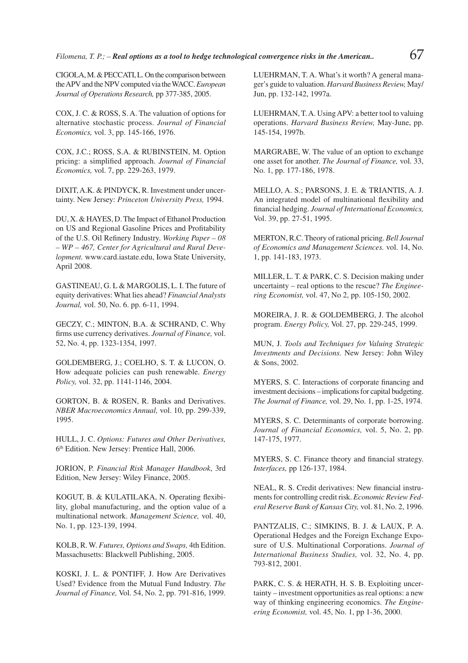CIGOLA, M. & PECCATI, L. On the comparison between the APV and the NPV computed via the WACC. *European Journal of Operations Research,* pp 377-385, 2005.

COX, J. C. & ROSS, S. A. The valuation of options for alternative stochastic process. *Journal of Financial Economics,* vol. 3, pp. 145-166, 1976.

COX, J.C.; ROSS, S.A. & RUBINSTEIN, M. Option pricing: a simplified approach. *Journal of Financial Economics,* vol. 7, pp. 229-263, 1979.

DIXIT, A.K. & PINDYCK, R. Investment under uncertainty. New Jersey: *Princeton University Press,* 1994.

DU, X. & HAYES, D. The Impact of Ethanol Production on US and Regional Gasoline Prices and Profitability of the U.S. Oil Refinery Industry. *Working Paper – 08 – WP – 467, Center for Agricultural and Rural Development.* www.card.iastate.edu, Iowa State University, April 2008.

GASTINEAU, G. L & MARGOLIS, L. I. The future of equity derivatives: What lies ahead? *Financial Analysts Journal,* vol. 50, No. 6. pp. 6-11, 1994.

GECZY, C.; MINTON, B.A. & SCHRAND, C. Why firms use currency derivatives. *Journal of Finance*, vol. 52, No. 4, pp. 1323-1354, 1997.

GOLDEMBERG, J.; COELHO, S. T. & LUCON, O. How adequate policies can push renewable. *Energy Policy,* vol. 32, pp. 1141-1146, 2004.

GORTON, B. & ROSEN, R. Banks and Derivatives. *NBER Macroeconomics Annual,* vol. 10, pp. 299-339, 1995.

HULL, J. C. *Options: Futures and Other Derivatives,* 6th Edition. New Jersey: Prentice Hall, 2006.

JORION, P. *Financial Risk Manager Handbook*, 3rd Edition, New Jersey: Wiley Finance, 2005.

KOGUT, B. & KULATILAKA, N. Operating flexibility, global manufacturing, and the option value of a multinational network. *Management Science,* vol. 40, No. 1, pp. 123-139, 1994.

KOLB, R. W. *Futures, Options and Swaps,* 4th Edition. Massachusetts: Blackwell Publishing, 2005.

KOSKI, J. L. & PONTIFF, J. How Are Derivatives Used? Evidence from the Mutual Fund Industry. *The Journal of Finance,* Vol. 54, No. 2, pp. 791-816, 1999. LUEHRMAN, T. A. What's it worth? A general manager's guide to valuation. *Harvard Business Review,* May/ Jun, pp. 132-142, 1997a.

LUEHRMAN, T. A. Using APV: a better tool to valuing operations. *Harvard Business Review,* May-June, pp. 145-154, 1997b.

MARGRABE, W. The value of an option to exchange one asset for another. *The Journal of Finance,* vol. 33, No. 1, pp. 177-186, 1978.

MELLO, A. S.; PARSONS, J. E. & TRIANTIS, A. J. An integrated model of multinational flexibility and financial hedging. *Journal of International Economics*, Vol. 39, pp. 27-51, 1995.

MERTON, R.C. Theory of rational pricing. *Bell Journal of Economics and Management Sciences.* vol. 14, No. 1, pp. 141-183, 1973.

MILLER, L. T. & PARK, C. S. Decision making under uncertainty – real options to the rescue? *The Engine ering Economist,* vol. 47, No 2, pp. 105-150, 2002.

MOREIRA, J. R. & GOLDEMBERG, J. The alcohol program. *Energy Policy,* Vol. 27, pp. 229-245, 1999.

MUN, J. *Tools and Techniques for Valuing Strategic Investments and Decisions.* New Jersey: John Wiley & Sons, 2002.

MYERS, S. C. Interactions of corporate financing and investment decisions – implications for capital budgeting. *The Journal of Finance,* vol. 29, No. 1, pp. 1-25, 1974.

MYERS, S. C. Determinants of corporate borrowing. *Journal of Financial Economics,* vol. 5, No. 2, pp. 147-175, 1977.

MYERS, S. C. Finance theory and financial strategy. *Interfaces,* pp 126-137, 1984.

NEAL, R. S. Credit derivatives: New financial instruments for controlling credit risk. *Economic Review Federal Reserve Bank of Kansas City,* vol. 81, No. 2, 1996.

PANTZALIS, C.; SIMKINS, B. J. & LAUX, P. A. Operational Hedges and the Foreign Exchange Exposure of U.S. Multinational Corporations. *Journal of International Business Studies,* vol. 32, No. 4, pp. 793-812, 2001.

PARK, C. S. & HERATH, H. S. B. Exploiting uncertainty – investment opportunities as real options: a new way of thinking engineering economics. *The Engineering Economist,* vol. 45, No. 1, pp 1-36, 2000.